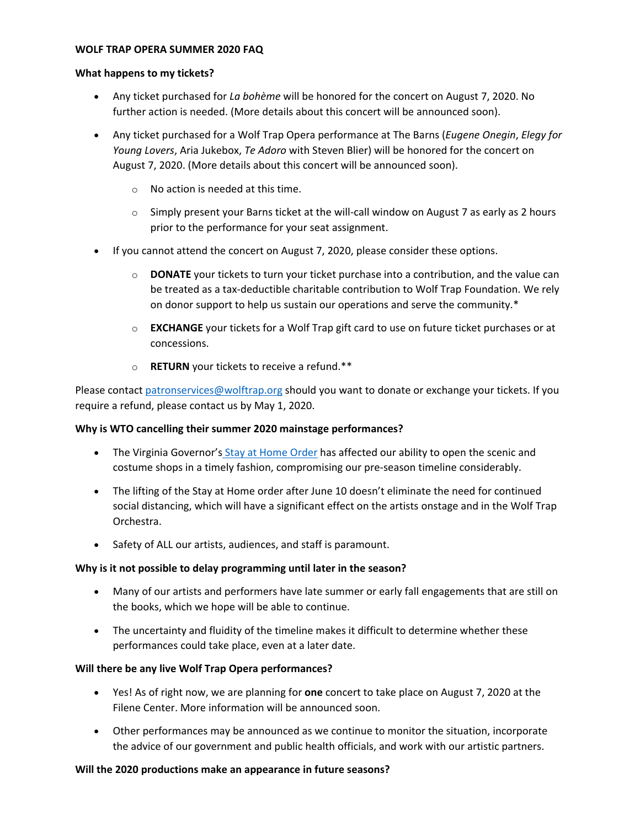#### **WOLF TRAP OPERA SUMMER 2020 FAQ**

#### **What happens to my tickets?**

- Any ticket purchased for *La bohème* will be honored for the concert on August 7, 2020. No further action is needed. (More details about this concert will be announced soon).
- Any ticket purchased for a Wolf Trap Opera performance at The Barns (*Eugene Onegin*, *Elegy for Young Lovers*, Aria Jukebox, *Te Adoro* with Steven Blier) will be honored for the concert on August 7, 2020. (More details about this concert will be announced soon).
	- o No action is needed at this time.
	- $\circ$  Simply present your Barns ticket at the will-call window on August 7 as early as 2 hours prior to the performance for your seat assignment.
- If you cannot attend the concert on August 7, 2020, please consider these options.
	- o **DONATE** your tickets to turn your ticket purchase into a contribution, and the value can be treated as a tax-deductible charitable contribution to Wolf Trap Foundation. We rely on donor support to help us sustain our operations and serve the community.\*
	- o **EXCHANGE** your tickets for a Wolf Trap gift card to use on future ticket purchases or at concessions.
	- o **RETURN** your tickets to receive a refund.\*\*

Please contact [patronservices@wolftrap.org](mailto:patronservices@wolftrap.org) should you want to donate or exchange your tickets. If you require a refund, please contact us by May 1, 2020.

## **Why is WTO cancelling their summer 2020 mainstage performances?**

- The Virginia Governor's [Stay at Home Order](https://www.governor.virginia.gov/media/governorvirginiagov/executive-actions/EO-55-Temporary-Stay-at-Home-Order-Due-to-Novel-Coronavirus-(COVID-19).pdf) has affected our ability to open the scenic and costume shops in a timely fashion, compromising our pre-season timeline considerably.
- The lifting of the Stay at Home order after June 10 doesn't eliminate the need for continued social distancing, which will have a significant effect on the artists onstage and in the Wolf Trap Orchestra.
- Safety of ALL our artists, audiences, and staff is paramount.

## **Why is it not possible to delay programming until later in the season?**

- Many of our artists and performers have late summer or early fall engagements that are still on the books, which we hope will be able to continue.
- The uncertainty and fluidity of the timeline makes it difficult to determine whether these performances could take place, even at a later date.

## **Will there be any live Wolf Trap Opera performances?**

- Yes! As of right now, we are planning for **one** concert to take place on August 7, 2020 at the Filene Center. More information will be announced soon.
- Other performances may be announced as we continue to monitor the situation, incorporate the advice of our government and public health officials, and work with our artistic partners.

## **Will the 2020 productions make an appearance in future seasons?**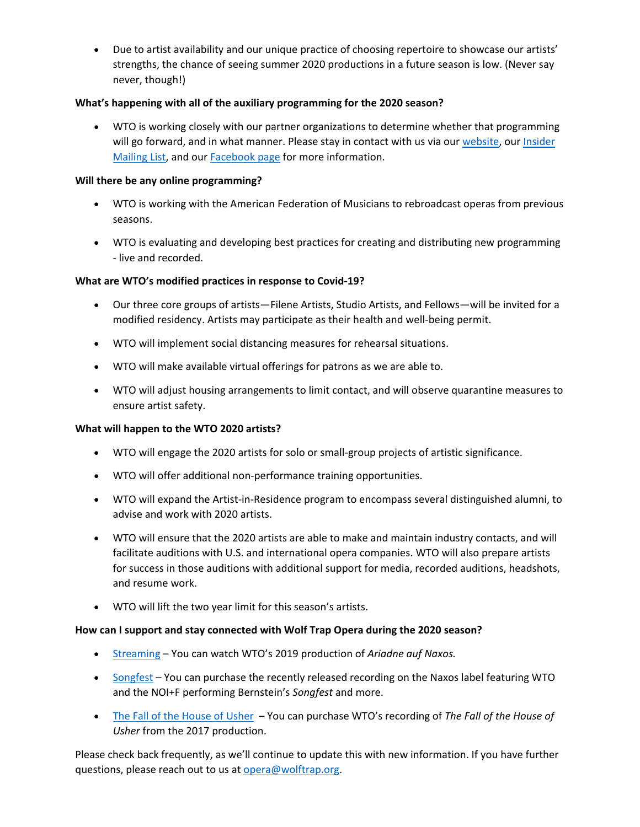• Due to artist availability and our unique practice of choosing repertoire to showcase our artists' strengths, the chance of seeing summer 2020 productions in a future season is low. (Never say never, though!)

# **What's happening with all of the auxiliary programming for the 2020 season?**

• WTO is working closely with our partner organizations to determine whether that programming will go forward, and in what manner. Please stay in contact with us via ou[r website,](https://www.wolftrap.org/opera.aspx) our *Insider* [Mailing List,](http://www.magnetmail.net/actions/subscription_form_wolftrap.cfm?subgroups=770473) and our [Facebook page](https://www.facebook.com/WolfTrapOpera/) for more information.

## **Will there be any online programming?**

- WTO is working with the American Federation of Musicians to rebroadcast operas from previous seasons.
- WTO is evaluating and developing best practices for creating and distributing new programming - live and recorded.

# **What are WTO's modified practices in response to Covid-19?**

- Our three core groups of artists—Filene Artists, Studio Artists, and Fellows—will be invited for a modified residency. Artists may participate as their health and well-being permit.
- WTO will implement social distancing measures for rehearsal situations.
- WTO will make available virtual offerings for patrons as we are able to.
- WTO will adjust housing arrangements to limit contact, and will observe quarantine measures to ensure artist safety.

## **What will happen to the WTO 2020 artists?**

- WTO will engage the 2020 artists for solo or small-group projects of artistic significance.
- WTO will offer additional non-performance training opportunities.
- WTO will expand the Artist-in-Residence program to encompass several distinguished alumni, to advise and work with 2020 artists.
- WTO will ensure that the 2020 artists are able to make and maintain industry contacts, and will facilitate auditions with U.S. and international opera companies. WTO will also prepare artists for success in those auditions with additional support for media, recorded auditions, headshots, and resume work.
- WTO will lift the two year limit for this season's artists.

## **How can I support and stay connected with Wolf Trap Opera during the 2020 season?**

- [Streaming](https://allaccess.wolftrap.org/2017/10/01/wolf-trap-opera-streaming/) You can watch WTO's 2019 production of *Ariadne auf Naxos.*
- [Songfest](https://www.naxos.com/catalogue/item.asp?item_code=8.559859) You can purchase the recently released recording on the Naxos label featuring WTO and the NOI+F performing Bernstein's *Songfest* and more.
- [The Fall of the House of Usher](https://music.apple.com/us/album/philip-glass-the-fall-of-the-house-of-usher/1478169783) You can purchase WTO's recording of *The Fall of the House of Usher* from the 2017 production.

Please check back frequently, as we'll continue to update this with new information. If you have further questions, please reach out to us at [opera@wolftrap.org.](mailto:opera@wolftrap.org)